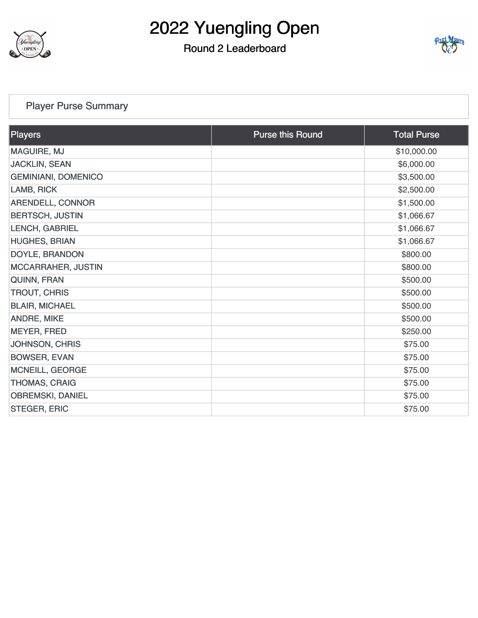

## Round 2 Leaderboard



### [Player Purse Summary](https://cdn2.golfgenius.com/v2tournaments/total_purse?league_id=8051350432846448469&round_id=8051355059096651606)

| Players                    | <b>Purse this Round</b> | <b>Total Purse</b> |
|----------------------------|-------------------------|--------------------|
| <b>MAGUIRE, MJ</b>         |                         | \$10,000.00        |
| <b>JACKLIN, SEAN</b>       |                         | \$6,000.00         |
| <b>GEMINIANI, DOMENICO</b> |                         | \$3,500.00         |
| LAMB, RICK                 |                         | \$2,500.00         |
| <b>ARENDELL, CONNOR</b>    |                         | \$1,500.00         |
| <b>BERTSCH, JUSTIN</b>     |                         | \$1,066.67         |
| LENCH, GABRIEL             |                         | \$1,066.67         |
| <b>HUGHES, BRIAN</b>       |                         | \$1,066.67         |
| DOYLE, BRANDON             |                         | \$800.00           |
| <b>MCCARRAHER, JUSTIN</b>  |                         | \$800.00           |
| QUINN, FRAN                |                         | \$500.00           |
| <b>TROUT, CHRIS</b>        |                         | \$500.00           |
| <b>BLAIR, MICHAEL</b>      |                         | \$500.00           |
| <b>ANDRE, MIKE</b>         |                         | \$500.00           |
| <b>MEYER, FRED</b>         |                         | \$250.00           |
| <b>JOHNSON, CHRIS</b>      |                         | \$75.00            |
| <b>BOWSER, EVAN</b>        |                         | \$75.00            |
| <b>MCNEILL, GEORGE</b>     |                         | \$75.00            |
| <b>THOMAS, CRAIG</b>       |                         | \$75.00            |
| <b>OBREMSKI, DANIEL</b>    |                         | \$75.00            |
| <b>STEGER, ERIC</b>        |                         | \$75.00            |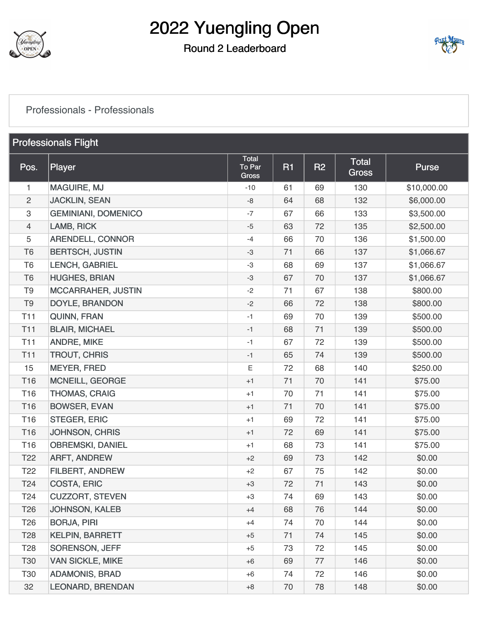

### Round 2 Leaderboard



#### [Professionals - Professionals](https://cdn2.golfgenius.com/v2tournaments/8051492194818721624?called_from=&round_index=2)

| <b>Professionals Flight</b> |                            |                                 |           |           |                              |             |
|-----------------------------|----------------------------|---------------------------------|-----------|-----------|------------------------------|-------------|
| Pos.                        | <b>Player</b>              | Total<br>To Par<br><b>Gross</b> | <b>R1</b> | <b>R2</b> | <b>Total</b><br><b>Gross</b> | Purse       |
| 1.                          | <b>MAGUIRE, MJ</b>         | $-10$                           | 61        | 69        | 130                          | \$10,000.00 |
| $\overline{c}$              | <b>JACKLIN, SEAN</b>       | $-8$                            | 64        | 68        | 132                          | \$6,000.00  |
| 3                           | <b>GEMINIANI, DOMENICO</b> | $-7$                            | 67        | 66        | 133                          | \$3,500.00  |
| $\overline{4}$              | LAMB, RICK                 | $-5$                            | 63        | 72        | 135                          | \$2,500.00  |
| $\overline{5}$              | <b>ARENDELL, CONNOR</b>    | $-4$                            | 66        | 70        | 136                          | \$1,500.00  |
| T <sub>6</sub>              | <b>BERTSCH, JUSTIN</b>     | $-3$                            | 71        | 66        | 137                          | \$1,066.67  |
| T <sub>6</sub>              | LENCH, GABRIEL             | $-3$                            | 68        | 69        | 137                          | \$1,066.67  |
| T <sub>6</sub>              | <b>HUGHES, BRIAN</b>       | $-3$                            | 67        | 70        | 137                          | \$1,066.67  |
| T <sub>9</sub>              | <b>MCCARRAHER, JUSTIN</b>  | $-2$                            | 71        | 67        | 138                          | \$800.00    |
| T <sub>9</sub>              | DOYLE, BRANDON             | $-2$                            | 66        | 72        | 138                          | \$800.00    |
| <b>T11</b>                  | QUINN, FRAN                | $-1$                            | 69        | 70        | 139                          | \$500.00    |
| <b>T11</b>                  | <b>BLAIR, MICHAEL</b>      | $-1$                            | 68        | 71        | 139                          | \$500.00    |
| <b>T11</b>                  | <b>ANDRE, MIKE</b>         | $-1$                            | 67        | 72        | 139                          | \$500.00    |
| <b>T11</b>                  | <b>TROUT, CHRIS</b>        | $-1$                            | 65        | 74        | 139                          | \$500.00    |
| 15                          | <b>MEYER, FRED</b>         | E                               | 72        | 68        | 140                          | \$250.00    |
| T16                         | <b>MCNEILL, GEORGE</b>     | $+1$                            | 71        | 70        | 141                          | \$75.00     |
| T16                         | <b>THOMAS, CRAIG</b>       | $+1$                            | 70        | 71        | 141                          | \$75.00     |
| T16                         | <b>BOWSER, EVAN</b>        | $+1$                            | 71        | 70        | 141                          | \$75.00     |
| T16                         | <b>STEGER, ERIC</b>        | $+1$                            | 69        | 72        | 141                          | \$75.00     |
| T16                         | <b>JOHNSON, CHRIS</b>      | $+1$                            | 72        | 69        | 141                          | \$75.00     |
| T <sub>16</sub>             | <b>OBREMSKI, DANIEL</b>    | $+1$                            | 68        | 73        | 141                          | \$75.00     |
| T <sub>22</sub>             | ARFT, ANDREW               | $+2$                            | 69        | 73        | 142                          | \$0.00      |
| T <sub>22</sub>             | FILBERT, ANDREW            | $+2$                            | 67        | 75        | 142                          | \$0.00      |
| T <sub>24</sub>             | <b>COSTA, ERIC</b>         | $+3$                            | 72        | 71        | 143                          | \$0.00      |
| T <sub>24</sub>             | <b>CUZZORT, STEVEN</b>     | +3                              | 74        | 69        | 143                          | \$0.00      |
| T <sub>26</sub>             | <b>JOHNSON, KALEB</b>      | $+4$                            | 68        | 76        | 144                          | \$0.00      |
| T <sub>26</sub>             | <b>BORJA, PIRI</b>         | $+4$                            | 74        | 70        | 144                          | \$0.00      |
| <b>T28</b>                  | <b>KELPIN, BARRETT</b>     | $+5$                            | 71        | 74        | 145                          | \$0.00      |
| <b>T28</b>                  | <b>SORENSON, JEFF</b>      | $+5$                            | 73        | 72        | 145                          | \$0.00      |
| <b>T30</b>                  | <b>VAN SICKLE, MIKE</b>    | $+6$                            | 69        | 77        | 146                          | \$0.00      |
| T30                         | <b>ADAMONIS, BRAD</b>      | $+6$                            | 74        | 72        | 146                          | \$0.00      |
| 32                          | <b>LEONARD, BRENDAN</b>    | $+8$                            | 70        | 78        | 148                          | \$0.00      |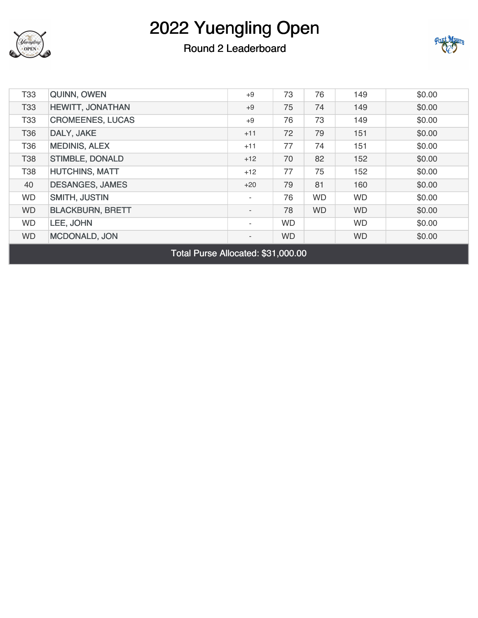

### Round 2 Leaderboard



| T <sub>33</sub> | <b>QUINN, OWEN</b>      | $+9$                     | 73        | 76        | 149       | \$0.00 |
|-----------------|-------------------------|--------------------------|-----------|-----------|-----------|--------|
| <b>T33</b>      | HEWITT, JONATHAN        | $+9$                     | 75        | 74        | 149       | \$0.00 |
| <b>T33</b>      | <b>CROMEENES, LUCAS</b> | $+9$                     | 76        | 73        | 149       | \$0.00 |
| T36             | DALY, JAKE              | $+11$                    | 72        | 79        | 151       | \$0.00 |
| T36             | <b>MEDINIS, ALEX</b>    | $+11$                    | 77        | 74        | 151       | \$0.00 |
| <b>T38</b>      | <b>STIMBLE, DONALD</b>  | $+12$                    | 70        | 82        | 152       | \$0.00 |
| <b>T38</b>      | <b>HUTCHINS, MATT</b>   | $+12$                    | 77        | 75        | 152       | \$0.00 |
| 40              | <b>DESANGES, JAMES</b>  | $+20$                    | 79        | 81        | 160       | \$0.00 |
| <b>WD</b>       | <b>SMITH, JUSTIN</b>    | $\sim$                   | 76        | <b>WD</b> | <b>WD</b> | \$0.00 |
| <b>WD</b>       | <b>BLACKBURN, BRETT</b> | $\overline{\phantom{a}}$ | 78        | <b>WD</b> | <b>WD</b> | \$0.00 |
| <b>WD</b>       | LEE, JOHN               | $\sim$                   | <b>WD</b> |           | <b>WD</b> | \$0.00 |
| <b>WD</b>       | <b>MCDONALD, JON</b>    | $\overline{\phantom{a}}$ | <b>WD</b> |           | <b>WD</b> | \$0.00 |

Total Purse Allocated: \$31,000.00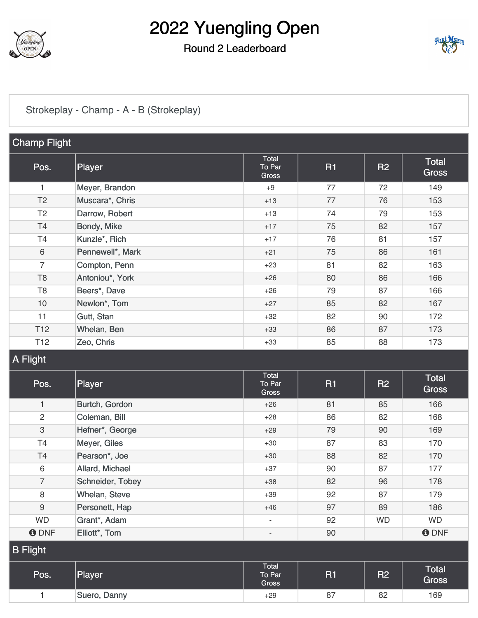

### Round 2 Leaderboard



### [Strokeplay - Champ - A - B \(Strokeplay\)](https://cdn2.golfgenius.com/v2tournaments/8051494863973123931?called_from=&round_index=2)

| <b>Champ Flight</b> |                  |                                 |           |           |                       |
|---------------------|------------------|---------------------------------|-----------|-----------|-----------------------|
| Pos.                | Player           | Total<br>To Par<br><b>Gross</b> | <b>R1</b> | <b>R2</b> | Total<br><b>Gross</b> |
| 1                   | Meyer, Brandon   | $+9$                            | 77        | 72        | 149                   |
| T <sub>2</sub>      | Muscara*, Chris  | $+13$                           | 77        | 76        | 153                   |
| T <sub>2</sub>      | Darrow, Robert   | $+13$                           | 74        | 79        | 153                   |
| T4                  | Bondy, Mike      | $+17$                           | 75        | 82        | 157                   |
| T <sub>4</sub>      | Kunzle*, Rich    | $+17$                           | 76        | 81        | 157                   |
| $\,6\,$             | Pennewell*, Mark | $+21$                           | 75        | 86        | 161                   |
| $\overline{7}$      | Compton, Penn    | $+23$                           | 81        | 82        | 163                   |
| T <sub>8</sub>      | Antoniou*, York  | $+26$                           | 80        | 86        | 166                   |
| T <sub>8</sub>      | Beers*, Dave     | $+26$                           | 79        | 87        | 166                   |
| 10                  | Newlon*, Tom     | $+27$                           | 85        | 82        | 167                   |
| 11                  | Gutt, Stan       | $+32$                           | 82        | 90        | 172                   |
| T <sub>12</sub>     | Whelan, Ben      | $+33$                           | 86        | 87        | 173                   |
| T <sub>12</sub>     | Zeo, Chris       | $+33$                           | 85        | 88        | 173                   |
| $\Delta$ Elinht     |                  |                                 |           |           |                       |

#### ıyı

| Pos.            | Player           | <b>Total</b><br>To Par<br>Gross | <b>R1</b> | <b>R2</b> | Total<br><b>Gross</b> |  |
|-----------------|------------------|---------------------------------|-----------|-----------|-----------------------|--|
| $\mathbf{1}$    | Burtch, Gordon   | $+26$                           | 81        | 85        | 166                   |  |
| $\overline{2}$  | Coleman, Bill    | $+28$                           | 86        | 82        | 168                   |  |
| 3               | Hefner*, George  | $+29$                           | 79        | 90        | 169                   |  |
| T <sub>4</sub>  | Meyer, Giles     | $+30$                           | 87        | 83        | 170                   |  |
| <b>T4</b>       | Pearson*, Joe    | $+30$                           | 88        | 82        | 170                   |  |
| 6               | Allard, Michael  | $+37$                           | 90        | 87        | 177                   |  |
| $\overline{7}$  | Schneider, Tobey | $+38$                           | 82        | 96        | 178                   |  |
| 8               | Whelan, Steve    | $+39$                           | 92        | 87        | 179                   |  |
| 9               | Personett, Hap   | $+46$                           | 97        | 89        | 186                   |  |
| <b>WD</b>       | Grant*, Adam     | $\overline{\phantom{a}}$        | 92        | <b>WD</b> | <b>WD</b>             |  |
| <b>ODNF</b>     | Elliott*, Tom    | $\overline{\phantom{a}}$        | 90        |           | <b>ODNF</b>           |  |
| <b>B</b> Flight |                  |                                 |           |           |                       |  |
| Pos.            | Player           | Total<br>To Par<br>Gross        | <b>R1</b> | <b>R2</b> | Total<br>Gross        |  |
|                 | Suero, Danny     | $+29$                           | 87        | 82        | 169                   |  |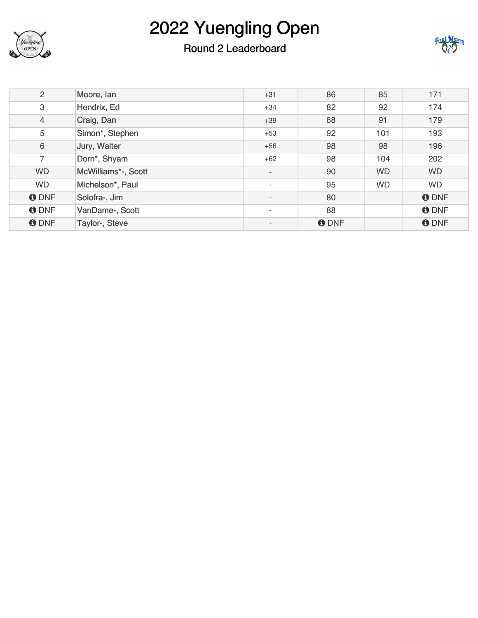

## Round 2 Leaderboard



| $\overline{2}$ | Moore, lan          | $+31$                    | 86          | 85        | 171         |
|----------------|---------------------|--------------------------|-------------|-----------|-------------|
| 3              | Hendrix, Ed         | $+34$                    | 82          | 92        | 174         |
| 4              | Craig, Dan          | $+39$                    | 88          | 91        | 179         |
| 5              | Simon*, Stephen     | $+53$                    | 92          | 101       | 193         |
| 6              | Jury, Walter        | $+56$                    | 98          | 98        | 196         |
| $\overline{7}$ | Dorn*, Shyam        | $+62$                    | 98          | 104       | 202         |
| <b>WD</b>      | McWilliams*-, Scott | $\overline{\phantom{a}}$ | 90          | <b>WD</b> | <b>WD</b>   |
| <b>WD</b>      | Michelson*, Paul    | $\sim$                   | 95          | <b>WD</b> | <b>WD</b>   |
| <b>O</b> DNF   | Solofra-, Jim       | $\overline{\phantom{a}}$ | 80          |           | <b>ODNF</b> |
| <b>ODNF</b>    | VanDame-, Scott     | $\sim$                   | 88          |           | <b>ODNF</b> |
| <b>O</b> DNF   | Taylor-, Steve      | $\overline{\phantom{a}}$ | <b>ODNF</b> |           | <b>ODNF</b> |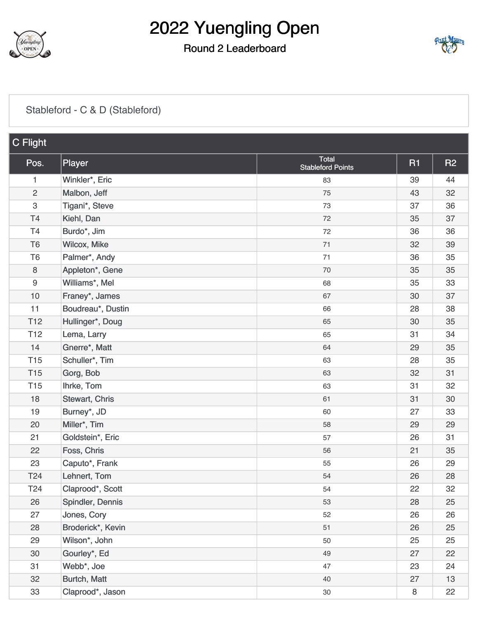

## Round 2 Leaderboard



### [Stableford - C & D \(Stableford\)](https://cdn2.golfgenius.com/v2tournaments/8051497536919177054?called_from=&round_index=2)

| C Flight        |                   |                                          |           |           |
|-----------------|-------------------|------------------------------------------|-----------|-----------|
| Pos.            | Player            | <b>Total</b><br><b>Stableford Points</b> | <b>R1</b> | <b>R2</b> |
| 1               | Winkler*, Eric    | 83                                       | 39        | 44        |
| $\overline{c}$  | Malbon, Jeff      | 75                                       | 43        | 32        |
| $\sqrt{3}$      | Tigani*, Steve    | 73                                       | 37        | 36        |
| T <sub>4</sub>  | Kiehl, Dan        | 72                                       | 35        | 37        |
| T <sub>4</sub>  | Burdo*, Jim       | 72                                       | 36        | 36        |
| T <sub>6</sub>  | Wilcox, Mike      | 71                                       | 32        | 39        |
| T <sub>6</sub>  | Palmer*, Andy     | 71                                       | 36        | 35        |
| $\,8\,$         | Appleton*, Gene   | 70                                       | 35        | 35        |
| 9               | Williams*, Mel    | 68                                       | 35        | 33        |
| 10              | Franey*, James    | 67                                       | 30        | 37        |
| 11              | Boudreau*, Dustin | 66                                       | 28        | 38        |
| T <sub>12</sub> | Hullinger*, Doug  | 65                                       | 30        | 35        |
| T <sub>12</sub> | Lema, Larry       | 65                                       | 31        | 34        |
| 14              | Gnerre*, Matt     | 64                                       | 29        | 35        |
| <b>T15</b>      | Schuller*, Tim    | 63                                       | 28        | 35        |
| <b>T15</b>      | Gorg, Bob         | 63                                       | 32        | 31        |
| T <sub>15</sub> | Ihrke, Tom        | 63                                       | 31        | 32        |
| 18              | Stewart, Chris    | 61                                       | 31        | 30        |
| 19              | Burney*, JD       | 60                                       | 27        | 33        |
| 20              | Miller*, Tim      | 58                                       | 29        | 29        |
| 21              | Goldstein*, Eric  | 57                                       | 26        | 31        |
| 22              | Foss, Chris       | 56                                       | 21        | 35        |
| 23              | Caputo*, Frank    | 55                                       | 26        | 29        |
| T24             | Lehnert, Tom      | 54                                       | 26        | 28        |
| T24             | Claprood*, Scott  | 54                                       | 22        | 32        |
| 26              | Spindler, Dennis  | 53                                       | 28        | 25        |
| 27              | Jones, Cory       | 52                                       | 26        | 26        |
| 28              | Broderick*, Kevin | 51                                       | 26        | 25        |
| 29              | Wilson*, John     | 50                                       | 25        | 25        |
| 30              | Gourley*, Ed      | 49                                       | 27        | 22        |
| 31              | Webb*, Joe        | 47                                       | 23        | 24        |
| 32              | Burtch, Matt      | 40                                       | 27        | 13        |
| 33              | Claprood*, Jason  | $30\,$                                   | 8         | 22        |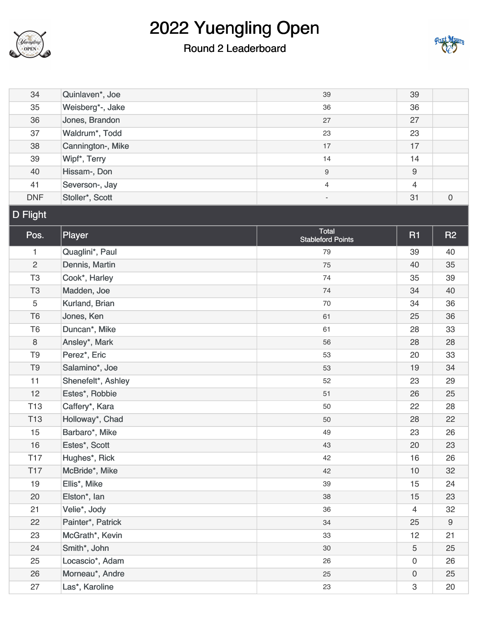

## Round 2 Leaderboard



| 34              | Quinlaven*, Joe    | 39                                       | 39                  |             |
|-----------------|--------------------|------------------------------------------|---------------------|-------------|
| 35              | Weisberg*-, Jake   | 36                                       | 36                  |             |
| 36              | Jones, Brandon     | 27                                       | 27                  |             |
| 37              | Waldrum*, Todd     | 23                                       | 23                  |             |
| 38              | Cannington-, Mike  | 17                                       | 17                  |             |
| 39              | Wipf*, Terry       | 14                                       | 14                  |             |
| 40              | Hissam-, Don       | 9                                        | $\boldsymbol{9}$    |             |
| 41              | Severson-, Jay     | 4                                        | $\overline{4}$      |             |
| <b>DNF</b>      | Stoller*, Scott    | $\overline{\phantom{a}}$                 | 31                  | $\mathbf 0$ |
| <b>D</b> Flight |                    |                                          |                     |             |
| Pos.            | Player             | <b>Total</b><br><b>Stableford Points</b> | <b>R1</b>           | <b>R2</b>   |
| 1               | Quaglini*, Paul    | 79                                       | 39                  | 40          |
| $\overline{2}$  | Dennis, Martin     | 75                                       | 40                  | 35          |
| T <sub>3</sub>  | Cook*, Harley      | 74                                       | 35                  | 39          |
| T <sub>3</sub>  | Madden, Joe        | 74                                       | 34                  | 40          |
| 5               | Kurland, Brian     | 70                                       | 34                  | 36          |
| T <sub>6</sub>  | Jones, Ken         | 61                                       | 25                  | 36          |
| T <sub>6</sub>  | Duncan*, Mike      | 61                                       | 28                  | 33          |
| $\,8\,$         | Ansley*, Mark      | 56                                       | 28                  | 28          |
| T <sub>9</sub>  | Perez*, Eric       | 53                                       | 20                  | 33          |
| T <sub>9</sub>  | Salamino*, Joe     | 53                                       | 19                  | 34          |
| 11              | Shenefelt*, Ashley | 52                                       | 23                  | 29          |
| 12              | Estes*, Robbie     | 51                                       | 26                  | 25          |
| <b>T13</b>      | Caffery*, Kara     | 50                                       | 22                  | 28          |
| T <sub>13</sub> | Holloway*, Chad    | 50                                       | 28                  | 22          |
| 15              | Barbaro*, Mike     | 49                                       | 23                  | 26          |
| 16              | Estes*, Scott      | 43                                       | 20                  | 23          |
| T <sub>17</sub> | Hughes*, Rick      | 42                                       | 16                  | 26          |
| T <sub>17</sub> | McBride*, Mike     | 42                                       | 10                  | 32          |
| 19              | Ellis*, Mike       | 39                                       | 15                  | 24          |
| 20              | Elston*, lan       | 38                                       | 15                  | 23          |
| 21              | Velie*, Jody       | 36                                       | $\overline{4}$      | 32          |
| 22              | Painter*, Patrick  | 34                                       | 25                  | 9           |
| 23              | McGrath*, Kevin    | 33                                       | 12                  | 21          |
| 24              | Smith*, John       | 30                                       | 5                   | 25          |
| 25              | Locascio*, Adam    | 26                                       | $\mathbf 0$         | 26          |
| 26              | Morneau*, Andre    | 25                                       | $\mathsf{O}\xspace$ | 25          |
| 27              | Las*, Karoline     | 23                                       | 3                   | 20          |